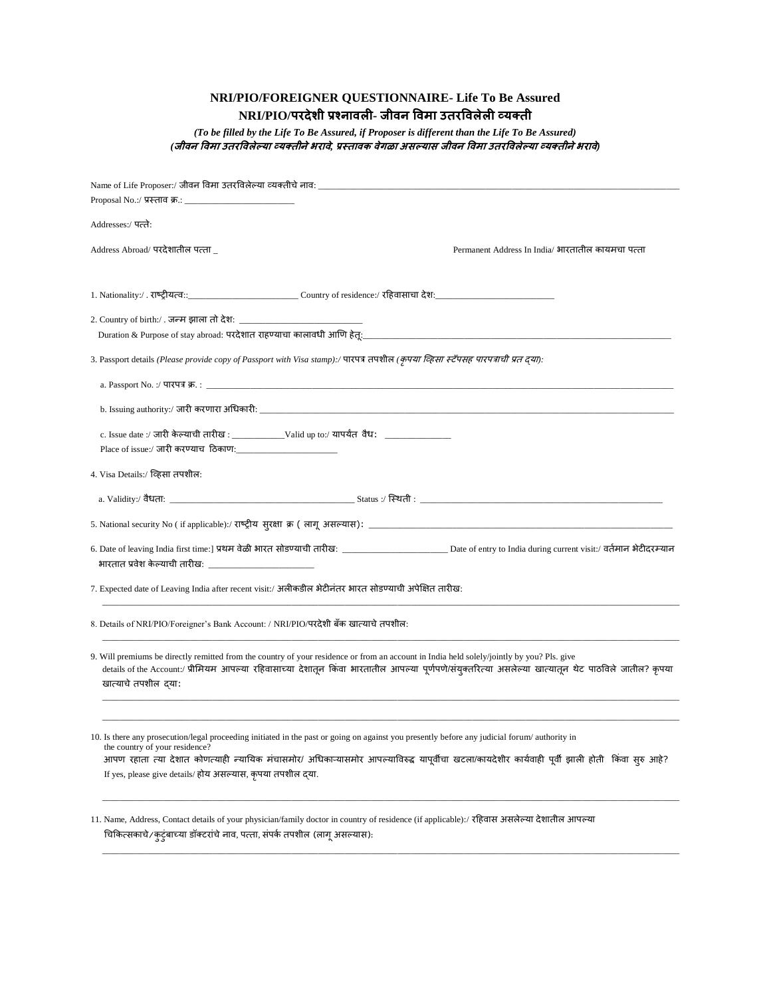## **NRI/PIO/FOREIGNER QUESTIONNAIRE- Life To Be Assured NRI/PIO/परदेशी प्रश्नावली- जीवन ववमा उतरववलेली व्यक्ती**

*(To be filled by the Life To Be Assured, if Proposer is different than the Life To Be Assured) (***जीवन ववमा उतरववलेल्या व्यक्तीनेभरावे***,* **प्रस्तावक वेगळा असल्यास जीवन ववमा उतरववलेल्या व्यक्तीनेभरावे***)*

| Name of Life Proposer:/ जीवन विमा उतरविलेल्या व्यक्तीचे नाव: __                                                                                                                                                                                                                                                                                                                                    |
|----------------------------------------------------------------------------------------------------------------------------------------------------------------------------------------------------------------------------------------------------------------------------------------------------------------------------------------------------------------------------------------------------|
|                                                                                                                                                                                                                                                                                                                                                                                                    |
| Addresses:/ पत्ते:                                                                                                                                                                                                                                                                                                                                                                                 |
| Address Abroad/ परदेशातील पत्ता _<br>Permanent Address In India/ भारतातील कायमचा पत्ता                                                                                                                                                                                                                                                                                                             |
| 1. Nationality:/ . राष्ट्रीयत्व::________________________________Country of residence:/ रहिवासाचा देश:________                                                                                                                                                                                                                                                                                     |
| Duration & Purpose of stay abroad: परदेशात राहण्याचा कालावधी आणि हेतू:_____                                                                                                                                                                                                                                                                                                                        |
| 3. Passport details (Please provide copy of Passport with Visa stamp):/ पारपत्र तपशील (कृपया व्हिसा स्टॅपसह पारपत्राची प्रत द्या):                                                                                                                                                                                                                                                                 |
| a. Passport No. :/ पारपत्र क्र. : __                                                                                                                                                                                                                                                                                                                                                               |
|                                                                                                                                                                                                                                                                                                                                                                                                    |
|                                                                                                                                                                                                                                                                                                                                                                                                    |
| 4. Visa Details:/ व्हिसा तपशील:                                                                                                                                                                                                                                                                                                                                                                    |
|                                                                                                                                                                                                                                                                                                                                                                                                    |
|                                                                                                                                                                                                                                                                                                                                                                                                    |
| भारतात प्रवेश केल्याची तारीख: _________________                                                                                                                                                                                                                                                                                                                                                    |
| 7. Expected date of Leaving India after recent visit:/ अलीकडील भेटीनंतर भारत सोडण्याची अपेक्षित तारीख:                                                                                                                                                                                                                                                                                             |
| 8. Details of NRI/PIO/Foreigner's Bank Account: / NRI/PIO/परदेशी बॅक खात्याचे तपशील:                                                                                                                                                                                                                                                                                                               |
| 9. Will premiums be directly remitted from the country of your residence or from an account in India held solely/jointly by you? Pls. give<br>details of the Account:/ प्रीमियम आपल्या रहिवासाच्या देशातून किंवा भारतातील आपल्या पूर्णपणे/संयुक्तरित्या असलेल्या खात्यातून थेट पाठविले जातील? कृपया<br>खात्याचे तपशील दया:                                                                         |
|                                                                                                                                                                                                                                                                                                                                                                                                    |
| 10. Is there any prosecution/legal proceeding initiated in the past or going on against you presently before any judicial forum/ authority in<br>the country of your residence?<br>आपण रहाता त्या देशात कोणत्याही न्यायिक मंचासमोर/ अधिकाऱ्यासमोर आपल्याविरुद्ध यापूर्वीचा खटला/कायदेशीर कार्यवाही पूर्वी झाली होती  किंवा सुरु आहे?<br>If yes, please give details/ होय असल्यास, कृपया तपशील दया. |
| 11. Name, Address, Contact details of your physician/family doctor in country of residence (if applicable):/ रहिवास असलेल्या देशातील आपल्या                                                                                                                                                                                                                                                        |

\_\_\_\_\_\_\_\_\_\_\_\_\_\_\_\_\_\_\_\_\_\_\_\_\_\_\_\_\_\_\_\_\_\_\_\_\_\_\_\_\_\_\_\_\_\_\_\_\_\_\_\_\_\_\_\_\_\_\_\_\_\_\_\_\_\_\_\_\_\_\_\_\_\_\_\_\_\_\_\_\_\_\_\_\_\_\_\_\_\_\_\_\_\_\_\_\_\_\_\_\_\_\_\_\_\_\_\_\_\_\_\_\_\_\_\_\_\_\_\_\_\_\_\_\_\_\_\_\_\_\_

चिकित्सकाचे/कुटुंबाच्या डॉक्टरांचे नाव, पत्ता, संपर्क तपशील (लागू असल्यास):